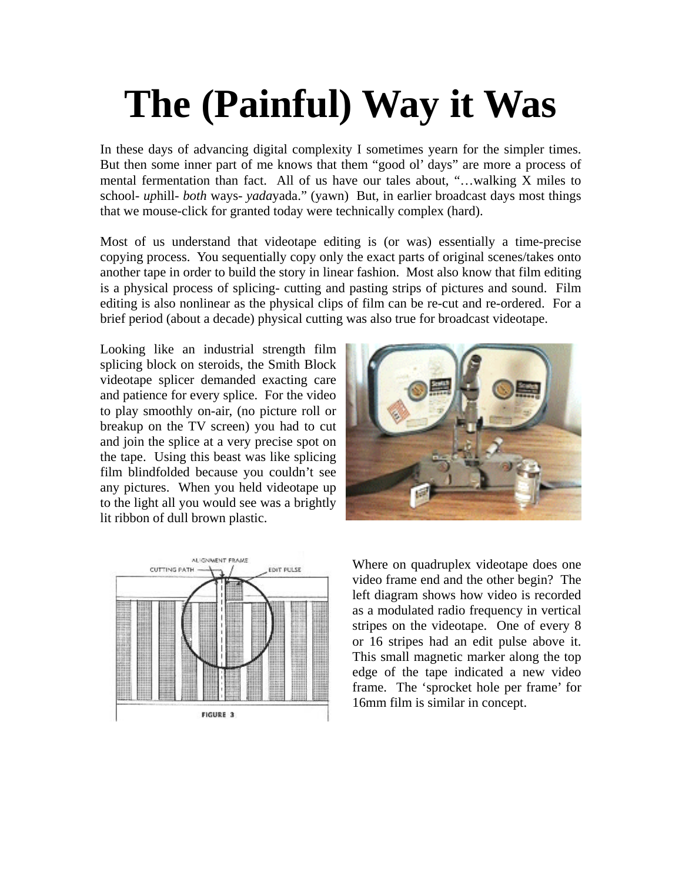## **The (Painful) Way it Was**

In these days of advancing digital complexity I sometimes yearn for the simpler times. But then some inner part of me knows that them "good ol' days" are more a process of mental fermentation than fact. All of us have our tales about, "…walking X miles to school- *up*hill- *both* ways- *yada*yada." (yawn) But, in earlier broadcast days most things that we mouse-click for granted today were technically complex (hard).

Most of us understand that videotape editing is (or was) essentially a time-precise copying process. You sequentially copy only the exact parts of original scenes/takes onto another tape in order to build the story in linear fashion. Most also know that film editing is a physical process of splicing- cutting and pasting strips of pictures and sound. Film editing is also nonlinear as the physical clips of film can be re-cut and re-ordered. For a brief period (about a decade) physical cutting was also true for broadcast videotape.

Looking like an industrial strength film splicing block on steroids, the Smith Block videotape splicer demanded exacting care and patience for every splice. For the video to play smoothly on-air, (no picture roll or breakup on the TV screen) you had to cut and join the splice at a very precise spot on the tape. Using this beast was like splicing film blindfolded because you couldn't see any pictures. When you held videotape up to the light all you would see was a brightly lit ribbon of dull brown plastic.





Where on quadruplex videotape does one video frame end and the other begin? The left diagram shows how video is recorded as a modulated radio frequency in vertical stripes on the videotape. One of every 8 or 16 stripes had an edit pulse above it. This small magnetic marker along the top edge of the tape indicated a new video frame. The 'sprocket hole per frame' for 16mm film is similar in concept.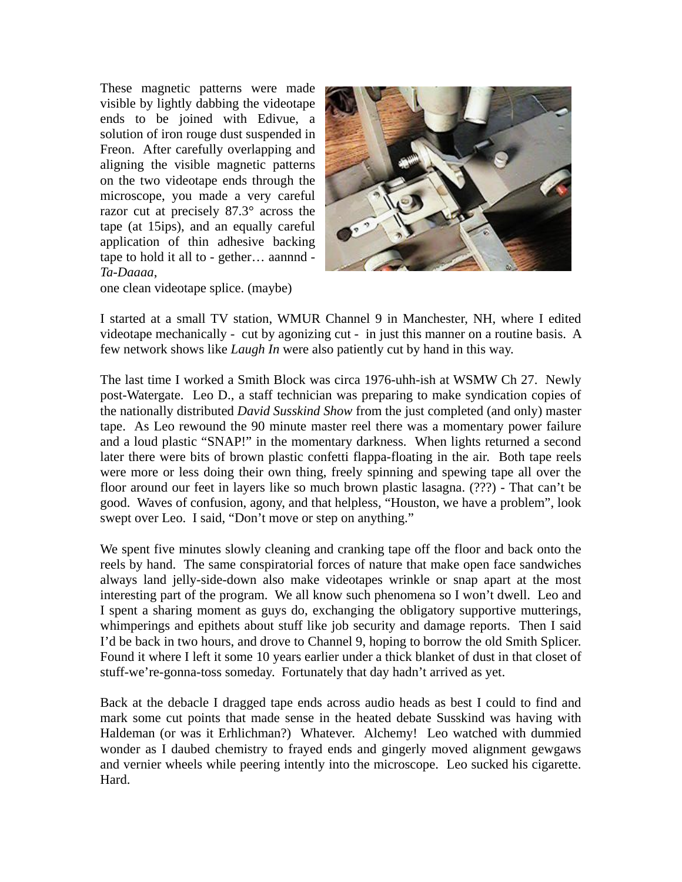These magnetic patterns were made visible by lightly dabbing the videotape ends to be joined with Edivue, a solution of iron rouge dust suspended in Freon. After carefully overlapping and aligning the visible magnetic patterns on the two videotape ends through the microscope, you made a very careful razor cut at precisely 87.3° across the tape (at 15ips), and an equally careful application of thin adhesive backing tape to hold it all to - gether… aannnd - *Ta-Daaaa*,



one clean videotape splice. (maybe)

I started at a small TV station, WMUR Channel 9 in Manchester, NH, where I edited videotape mechanically - cut by agonizing cut - in just this manner on a routine basis. A few network shows like *Laugh In* were also patiently cut by hand in this way.

The last time I worked a Smith Block was circa 1976-uhh-ish at WSMW Ch 27. Newly post-Watergate. Leo D., a staff technician was preparing to make syndication copies of the nationally distributed *David Susskind Show* from the just completed (and only) master tape. As Leo rewound the 90 minute master reel there was a momentary power failure and a loud plastic "SNAP!" in the momentary darkness. When lights returned a second later there were bits of brown plastic confetti flappa-floating in the air. Both tape reels were more or less doing their own thing, freely spinning and spewing tape all over the floor around our feet in layers like so much brown plastic lasagna. (???) - That can't be good. Waves of confusion, agony, and that helpless, "Houston, we have a problem", look swept over Leo. I said, "Don't move or step on anything."

We spent five minutes slowly cleaning and cranking tape off the floor and back onto the reels by hand. The same conspiratorial forces of nature that make open face sandwiches always land jelly-side-down also make videotapes wrinkle or snap apart at the most interesting part of the program. We all know such phenomena so I won't dwell. Leo and I spent a sharing moment as guys do, exchanging the obligatory supportive mutterings, whimperings and epithets about stuff like job security and damage reports. Then I said I'd be back in two hours, and drove to Channel 9, hoping to borrow the old Smith Splicer. Found it where I left it some 10 years earlier under a thick blanket of dust in that closet of stuff-we're-gonna-toss someday. Fortunately that day hadn't arrived as yet.

Back at the debacle I dragged tape ends across audio heads as best I could to find and mark some cut points that made sense in the heated debate Susskind was having with Haldeman (or was it Erhlichman?) Whatever. Alchemy! Leo watched with dummied wonder as I daubed chemistry to frayed ends and gingerly moved alignment gewgaws and vernier wheels while peering intently into the microscope. Leo sucked his cigarette. Hard.